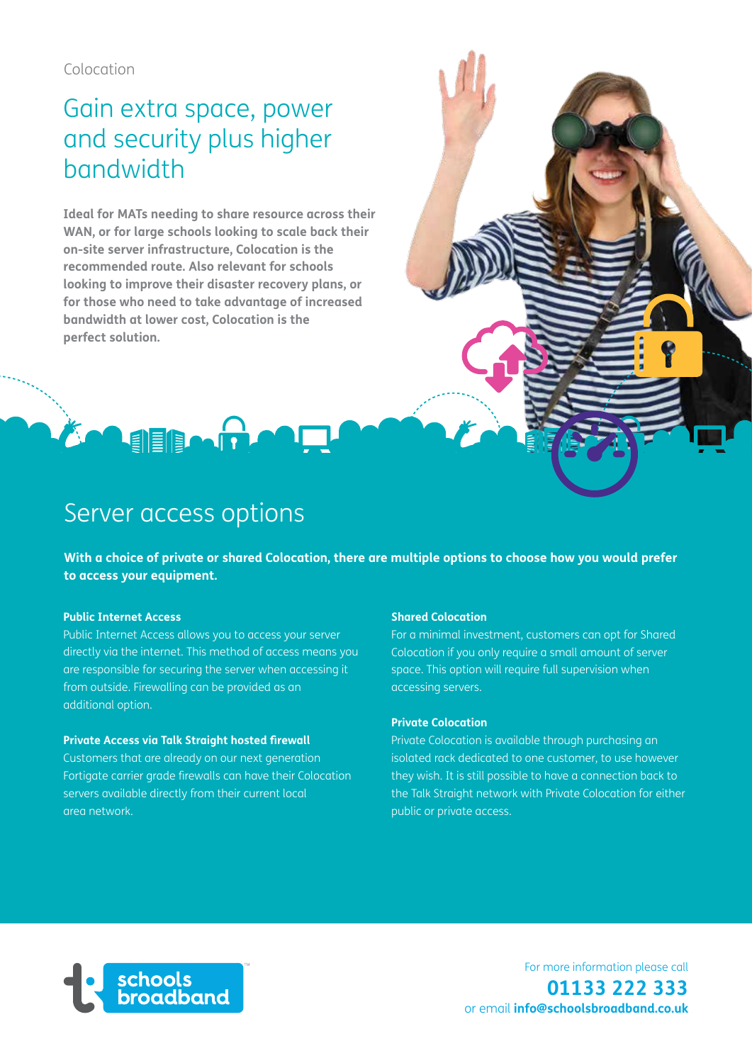# Gain extra space, power and security plus higher bandwidth

**Ideal for MATs needing to share resource across their WAN, or for large schools looking to scale back their on-site server infrastructure, Colocation is the recommended route. Also relevant for schools looking to improve their disaster recovery plans, or for those who need to take advantage of increased bandwidth at lower cost, Colocation is the perfect solution.**

## Server access options

**Agegar** 

**With a choice of private or shared Colocation, there are multiple options to choose how you would prefer to access your equipment.**

### **Public Internet Access**

Public Internet Access allows you to access your server directly via the internet. This method of access means you are responsible for securing the server when accessing it from outside. Firewalling can be provided as an additional option.

#### **Private Access via Talk Straight hosted firewall**

Customers that are already on our next generation Fortigate carrier grade firewalls can have their Colocation servers available directly from their current local area network.

#### **Shared Colocation**

For a minimal investment, customers can opt for Shared Colocation if you only require a small amount of server space. This option will require full supervision when accessing servers.

#### **Private Colocation**

Private Colocation is available through purchasing an isolated rack dedicated to one customer, to use however they wish. It is still possible to have a connection back to the Talk Straight network with Private Colocation for either public or private access.



For more information please call **01133 222 333**  or email **info@schoolsbroadband.co.uk**